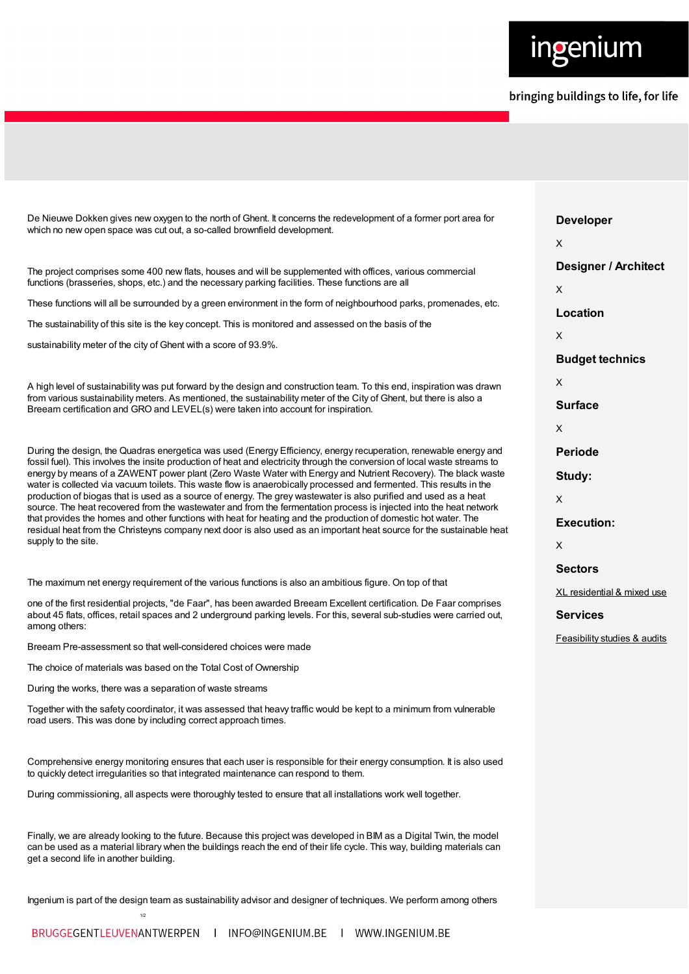

| De Nieuwe Dokken gives new oxygen to the north of Ghent. It concerns the redevelopment of a former port area for<br>which no new open space was cut out, a so-called brownfield development.                                                                                                                                                                                                                                                                                                                                                                                                                                                                                                                                                                                                                                                                                                                                                                                                         | <b>Developer</b>                        |
|------------------------------------------------------------------------------------------------------------------------------------------------------------------------------------------------------------------------------------------------------------------------------------------------------------------------------------------------------------------------------------------------------------------------------------------------------------------------------------------------------------------------------------------------------------------------------------------------------------------------------------------------------------------------------------------------------------------------------------------------------------------------------------------------------------------------------------------------------------------------------------------------------------------------------------------------------------------------------------------------------|-----------------------------------------|
|                                                                                                                                                                                                                                                                                                                                                                                                                                                                                                                                                                                                                                                                                                                                                                                                                                                                                                                                                                                                      | X                                       |
| The project comprises some 400 new flats, houses and will be supplemented with offices, various commercial<br>functions (brasseries, shops, etc.) and the necessary parking facilities. These functions are all                                                                                                                                                                                                                                                                                                                                                                                                                                                                                                                                                                                                                                                                                                                                                                                      | <b>Designer / Architect</b><br>X        |
| These functions will all be surrounded by a green environment in the form of neighbourhood parks, promenades, etc.                                                                                                                                                                                                                                                                                                                                                                                                                                                                                                                                                                                                                                                                                                                                                                                                                                                                                   | Location                                |
| The sustainability of this site is the key concept. This is monitored and assessed on the basis of the                                                                                                                                                                                                                                                                                                                                                                                                                                                                                                                                                                                                                                                                                                                                                                                                                                                                                               |                                         |
| sustainability meter of the city of Ghent with a score of 93.9%.                                                                                                                                                                                                                                                                                                                                                                                                                                                                                                                                                                                                                                                                                                                                                                                                                                                                                                                                     | X                                       |
|                                                                                                                                                                                                                                                                                                                                                                                                                                                                                                                                                                                                                                                                                                                                                                                                                                                                                                                                                                                                      | <b>Budget technics</b>                  |
| A high level of sustainability was put forward by the design and construction team. To this end, inspiration was drawn<br>from various sustainability meters. As mentioned, the sustainability meter of the City of Ghent, but there is also a<br>Breeam certification and GRO and LEVEL(s) were taken into account for inspiration.                                                                                                                                                                                                                                                                                                                                                                                                                                                                                                                                                                                                                                                                 | X                                       |
|                                                                                                                                                                                                                                                                                                                                                                                                                                                                                                                                                                                                                                                                                                                                                                                                                                                                                                                                                                                                      | <b>Surface</b>                          |
|                                                                                                                                                                                                                                                                                                                                                                                                                                                                                                                                                                                                                                                                                                                                                                                                                                                                                                                                                                                                      | X                                       |
| During the design, the Quadras energetica was used (Energy Efficiency, energy recuperation, renewable energy and<br>fossil fuel). This involves the insite production of heat and electricity through the conversion of local waste streams to<br>energy by means of a ZAWENT power plant (Zero Waste Water with Energy and Nutrient Recovery). The black waste<br>water is collected via vacuum toilets. This waste flow is anaerobically processed and fermented. This results in the<br>production of biogas that is used as a source of energy. The grey wastewater is also purified and used as a heat<br>source. The heat recovered from the wastewater and from the fermentation process is injected into the heat network<br>that provides the homes and other functions with heat for heating and the production of domestic hot water. The<br>residual heat from the Christeyns company next door is also used as an important heat source for the sustainable heat<br>supply to the site. | <b>Periode</b>                          |
|                                                                                                                                                                                                                                                                                                                                                                                                                                                                                                                                                                                                                                                                                                                                                                                                                                                                                                                                                                                                      | Study:                                  |
|                                                                                                                                                                                                                                                                                                                                                                                                                                                                                                                                                                                                                                                                                                                                                                                                                                                                                                                                                                                                      | X                                       |
|                                                                                                                                                                                                                                                                                                                                                                                                                                                                                                                                                                                                                                                                                                                                                                                                                                                                                                                                                                                                      | <b>Execution:</b>                       |
|                                                                                                                                                                                                                                                                                                                                                                                                                                                                                                                                                                                                                                                                                                                                                                                                                                                                                                                                                                                                      | X                                       |
|                                                                                                                                                                                                                                                                                                                                                                                                                                                                                                                                                                                                                                                                                                                                                                                                                                                                                                                                                                                                      | <b>Sectors</b>                          |
| The maximum net energy requirement of the various functions is also an ambitious figure. On top of that                                                                                                                                                                                                                                                                                                                                                                                                                                                                                                                                                                                                                                                                                                                                                                                                                                                                                              | XL residential & mixed use              |
| one of the first residential projects, "de Faar", has been awarded Breeam Excellent certification. De Faar comprises<br>about 45 flats, offices, retail spaces and 2 underground parking levels. For this, several sub-studies were carried out,<br>among others:                                                                                                                                                                                                                                                                                                                                                                                                                                                                                                                                                                                                                                                                                                                                    | <b>Services</b>                         |
| Breeam Pre-assessment so that well-considered choices were made                                                                                                                                                                                                                                                                                                                                                                                                                                                                                                                                                                                                                                                                                                                                                                                                                                                                                                                                      | <b>Feasibility studies &amp; audits</b> |
| The choice of materials was based on the Total Cost of Ownership                                                                                                                                                                                                                                                                                                                                                                                                                                                                                                                                                                                                                                                                                                                                                                                                                                                                                                                                     |                                         |
| During the works, there was a separation of waste streams                                                                                                                                                                                                                                                                                                                                                                                                                                                                                                                                                                                                                                                                                                                                                                                                                                                                                                                                            |                                         |
| Together with the safety coordinator, it was assessed that heavy traffic would be kept to a minimum from vulnerable<br>road users. This was done by including correct approach times.                                                                                                                                                                                                                                                                                                                                                                                                                                                                                                                                                                                                                                                                                                                                                                                                                |                                         |
| Comprehensive energy monitoring ensures that each user is responsible for their energy consumption. It is also used<br>to quickly detect irregularities so that integrated maintenance can respond to them.                                                                                                                                                                                                                                                                                                                                                                                                                                                                                                                                                                                                                                                                                                                                                                                          |                                         |
| During commissioning, all aspects were thoroughly tested to ensure that all installations work well together.                                                                                                                                                                                                                                                                                                                                                                                                                                                                                                                                                                                                                                                                                                                                                                                                                                                                                        |                                         |
| Finally, we are already looking to the future. Because this project was developed in BIM as a Digital Twin, the model<br>can be used as a material library when the buildings reach the end of their life cycle. This way, building materials can                                                                                                                                                                                                                                                                                                                                                                                                                                                                                                                                                                                                                                                                                                                                                    |                                         |

Ingenium is part of the design team as sustainability advisor and designer of techniques. We perform among others

1/2

get a second life in another building.